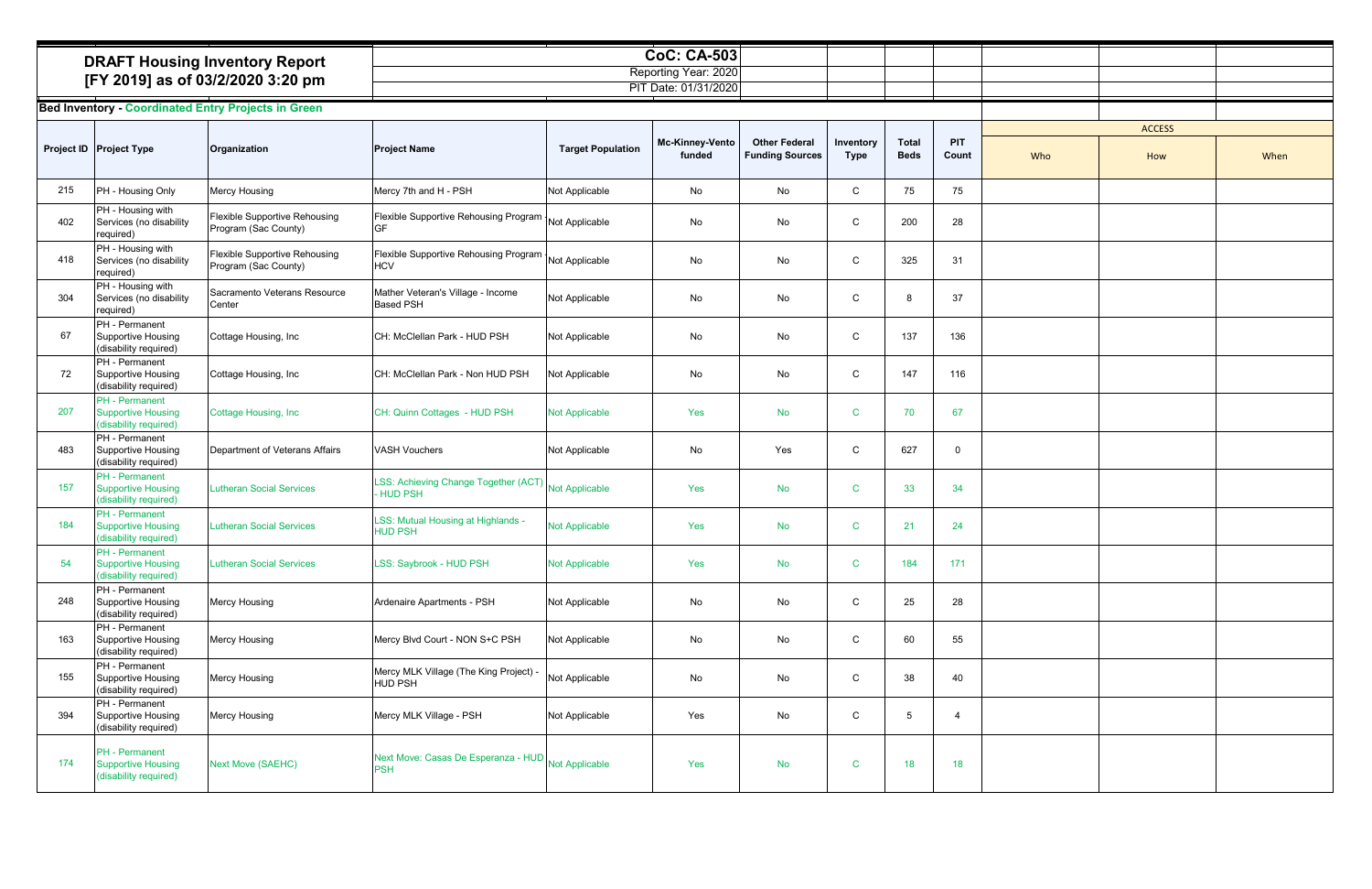| <b>DRAFT Housing Inventory Report</b> | CoC: CA-503          |  |
|---------------------------------------|----------------------|--|
|                                       | Reporting Year: 2020 |  |
| [FY 2019] as of 03/2/2020 3:20 pm     | PIT Date: 01/31/2020 |  |
|                                       |                      |  |
| .                                     |                      |  |

| <b>DRAFT Housing Inventory Report</b><br>[FY 2019] as of 03/2/2020 3:20 pm |                                                                             | <b>CoC: CA-503</b><br>Reporting Year: 2020<br>PIT Date: 01/31/2020 |                                                                       |                          |                                  |                                                |                          |                             |                     |               |     |      |
|----------------------------------------------------------------------------|-----------------------------------------------------------------------------|--------------------------------------------------------------------|-----------------------------------------------------------------------|--------------------------|----------------------------------|------------------------------------------------|--------------------------|-----------------------------|---------------------|---------------|-----|------|
|                                                                            |                                                                             | <b>Bed Inventory - Coordinated Entry Projects in Green</b>         |                                                                       |                          |                                  |                                                |                          |                             |                     |               |     |      |
|                                                                            |                                                                             |                                                                    |                                                                       |                          |                                  |                                                |                          |                             |                     | <b>ACCESS</b> |     |      |
|                                                                            | Project ID Project Type                                                     | Organization                                                       | <b>Project Name</b>                                                   | <b>Target Population</b> | <b>Mc-Kinney-Vento</b><br>funded | <b>Other Federal</b><br><b>Funding Sources</b> | Inventory<br><b>Type</b> | <b>Total</b><br><b>Beds</b> | <b>PIT</b><br>Count | Who           | How | When |
| 215                                                                        | PH - Housing Only                                                           | <b>Mercy Housing</b>                                               | Mercy 7th and H - PSH                                                 | Not Applicable           | No                               | No                                             | C                        | 75                          | 75                  |               |     |      |
| 402                                                                        | PH - Housing with<br>Services (no disability<br>required)                   | Flexible Supportive Rehousing<br>Program (Sac County)              | Flexible Supportive Rehousing Program   Not Applicable<br><b>GF</b>   |                          | No                               | No                                             | C                        | 200                         | 28                  |               |     |      |
| 418                                                                        | PH - Housing with<br>Services (no disability<br>required)                   | <b>Flexible Supportive Rehousing</b><br>Program (Sac County)       | Flexible Supportive Rehousing Program   Not Applicable<br><b>HCV</b>  |                          | No                               | No                                             | C                        | 325                         | 31                  |               |     |      |
| 304                                                                        | PH - Housing with<br>Services (no disability<br>required)                   | Sacramento Veterans Resource<br>Center                             | Mather Veteran's Village - Income<br><b>Based PSH</b>                 | Not Applicable           | No                               | No                                             | C                        | 8                           | 37                  |               |     |      |
| 67                                                                         | PH - Permanent<br><b>Supportive Housing</b><br>(disability required)        | Cottage Housing, Inc                                               | CH: McClellan Park - HUD PSH                                          | Not Applicable           | No                               | No                                             | C                        | 137                         | 136                 |               |     |      |
| 72                                                                         | PH - Permanent<br>Supportive Housing<br>(disability required)               | Cottage Housing, Inc                                               | CH: McClellan Park - Non HUD PSH                                      | Not Applicable           | No                               | No                                             | C                        | 147                         | 116                 |               |     |      |
| 207                                                                        | PH - Permanent<br><b>Supportive Housing</b><br>(disability required)        | Cottage Housing, Inc.                                              | CH: Quinn Cottages - HUD PSH                                          | <b>Not Applicable</b>    | Yes                              | <b>No</b>                                      | C                        | 70                          | 67                  |               |     |      |
| 483                                                                        | PH - Permanent<br>Supportive Housing<br>(disability required)               | Department of Veterans Affairs                                     | <b>VASH Vouchers</b>                                                  | Not Applicable           | No                               | Yes                                            | C                        | 627                         | $\mathbf 0$         |               |     |      |
| 157                                                                        | <b>PH</b> - Permanent<br><b>Supportive Housing</b><br>(disability required) | <b>Lutheran Social Services</b>                                    | LSS: Achieving Change Together (ACT) Not Applicable<br><b>HUD PSH</b> |                          | Yes                              | <b>No</b>                                      | C                        | 33                          | 34                  |               |     |      |
| 184                                                                        | PH - Permanent<br><b>Supportive Housing</b><br>(disability required)        | <b>Lutheran Social Services</b>                                    | LSS: Mutual Housing at Highlands -<br><b>HUD PSH</b>                  | <b>Not Applicable</b>    | Yes                              | <b>No</b>                                      | C                        | 21                          | 24                  |               |     |      |
| 54                                                                         | PH - Permanent<br><b>Supportive Housing</b><br>(disability required)        | <b>Lutheran Social Services</b>                                    | LSS: Saybrook - HUD PSH                                               | <b>Not Applicable</b>    | Yes                              | <b>No</b>                                      | C                        | 184                         | 171                 |               |     |      |
| 248                                                                        | PH - Permanent<br><b>Supportive Housing</b><br>(disability required)        | Mercy Housing                                                      | Ardenaire Apartments - PSH                                            | Not Applicable           | No                               | No                                             | C                        | 25                          | 28                  |               |     |      |
| 163                                                                        | PH - Permanent<br>Supportive Housing<br>(disability required)               | Mercy Housing                                                      | Mercy Blvd Court - NON S+C PSH                                        | Not Applicable           | No                               | No                                             | C                        | 60                          | 55                  |               |     |      |
| 155                                                                        | PH - Permanent<br>Supportive Housing<br>(disability required)               | <b>Mercy Housing</b>                                               | Mercy MLK Village (The King Project) -<br><b>HUD PSH</b>              | Not Applicable           | No                               | No                                             | C                        | 38                          | 40                  |               |     |      |
| 394                                                                        | PH - Permanent<br>Supportive Housing<br>(disability required)               | <b>Mercy Housing</b>                                               | Mercy MLK Village - PSH                                               | Not Applicable           | Yes                              | No                                             | ${\rm C}$                | $5\overline{)}$             | $\overline{4}$      |               |     |      |
| 174                                                                        | PH - Permanent<br><b>Supportive Housing</b><br>(disability required)        | <b>Next Move (SAEHC)</b>                                           | Next Move: Casas De Esperanza - HUD Not Applicable<br><b>PSH</b>      |                          | Yes                              | <b>No</b>                                      | $\mathbf C$              | 18                          | 18                  |               |     |      |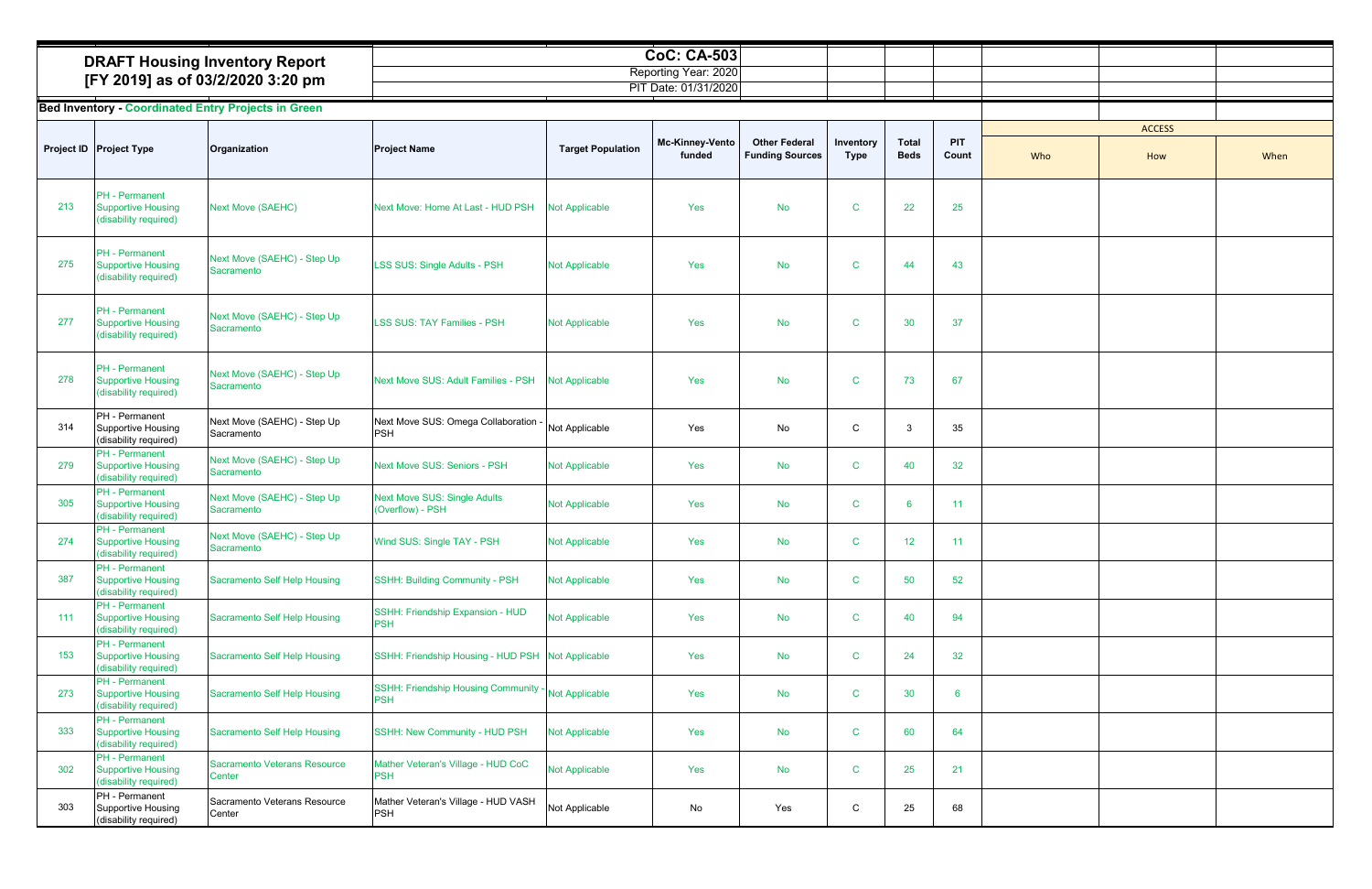| <b>DRAFT Housing Inventory Report</b> | CoC: CA-503          |  |  |
|---------------------------------------|----------------------|--|--|
|                                       | Reporting Year: 2020 |  |  |
| [FY 2019] as of 03/2/2020 3:20 pm     | T Date: 01/31/2020.  |  |  |

|     |                                                                             |                                                                            |                                                         |                          | <b>CoC: CA-503</b>                           |                                                |                          |                             |                     |               |      |
|-----|-----------------------------------------------------------------------------|----------------------------------------------------------------------------|---------------------------------------------------------|--------------------------|----------------------------------------------|------------------------------------------------|--------------------------|-----------------------------|---------------------|---------------|------|
|     |                                                                             | <b>DRAFT Housing Inventory Report</b><br>[FY 2019] as of 03/2/2020 3:20 pm |                                                         |                          | Reporting Year: 2020<br>PIT Date: 01/31/2020 |                                                |                          |                             |                     |               |      |
|     |                                                                             | <b>Bed Inventory - Coordinated Entry Projects in Green</b>                 |                                                         |                          |                                              |                                                |                          |                             |                     |               |      |
|     |                                                                             |                                                                            |                                                         |                          |                                              |                                                |                          |                             |                     | <b>ACCESS</b> |      |
|     | Project ID Project Type                                                     | Organization                                                               | <b>Project Name</b>                                     | <b>Target Population</b> | Mc-Kinney-Vento<br>funded                    | <b>Other Federal</b><br><b>Funding Sources</b> | Inventory<br><b>Type</b> | <b>Total</b><br><b>Beds</b> | PIT<br>Count<br>Who | How           | When |
| 213 | <b>PH</b> - Permanent<br><b>Supportive Housing</b><br>(disability required) | <b>Next Move (SAEHC)</b>                                                   | Next Move: Home At Last - HUD PSH                       | <b>Not Applicable</b>    | Yes                                          | <b>No</b>                                      | C                        | 22                          | 25                  |               |      |
| 275 | PH - Permanent<br><b>Supportive Housing</b><br>(disability required)        | Next Move (SAEHC) - Step Up<br>Sacramento                                  | LSS SUS: Single Adults - PSH                            | <b>Not Applicable</b>    | Yes                                          | <b>No</b>                                      | $\mathbf C$              | 44                          | 43                  |               |      |
| 277 | PH - Permanent<br><b>Supportive Housing</b><br>(disability required)        | Next Move (SAEHC) - Step Up<br>Sacramento                                  | <b>LSS SUS: TAY Families - PSH</b>                      | <b>Not Applicable</b>    | Yes                                          | <b>No</b>                                      | $\mathbf C$              | 30                          | 37                  |               |      |
| 278 | <b>PH</b> - Permanent<br><b>Supportive Housing</b><br>(disability required) | Next Move (SAEHC) - Step Up<br>Sacramento                                  | Next Move SUS: Adult Families - PSH                     | <b>Not Applicable</b>    | Yes                                          | <b>No</b>                                      | $\mathbf C$              | 73                          | 67                  |               |      |
| 314 | PH - Permanent<br>Supportive Housing<br>(disability required)               | Next Move (SAEHC) - Step Up<br>Sacramento                                  | Next Move SUS: Omega Collaboration<br>PSH               | Not Applicable           | Yes                                          | No                                             | C                        | 3                           | 35                  |               |      |
| 279 | <b>PH</b> - Permanent<br><b>Supportive Housing</b><br>(disability required) | Next Move (SAEHC) - Step Up<br>Sacramento                                  | Next Move SUS: Seniors - PSH                            | <b>Not Applicable</b>    | Yes                                          | No                                             | C                        | 40                          | 32                  |               |      |
| 305 | PH - Permanent<br><b>Supportive Housing</b><br>(disability required)        | Next Move (SAEHC) - Step Up<br>Sacramento                                  | <b>Next Move SUS: Single Adults</b><br>(Overflow) - PSH | <b>Not Applicable</b>    | Yes                                          | <b>No</b>                                      | $\mathbf C$              | -6                          | 11                  |               |      |
| 274 | PH - Permanent<br><b>Supportive Housing</b><br>(disability required)        | Next Move (SAEHC) - Step Up<br>Sacramento                                  | Wind SUS: Single TAY - PSH                              | Not Applicable           | Yes                                          | No                                             | $\mathbf{C}$             | 12 <sup>°</sup>             | 11                  |               |      |
| 387 | PH - Permanent<br><b>Supportive Housing</b><br>(disability required)        | Sacramento Self Help Housing                                               | SSHH: Building Community - PSH                          | <b>Not Applicable</b>    | Yes                                          | No                                             | $\mathbf C$              | 50                          | 52                  |               |      |
| 111 | PH - Permanent<br><b>Supportive Housing</b><br>(disability required)        | <b>Sacramento Self Help Housing</b>                                        | SSHH: Friendship Expansion - HUD<br><b>PSH</b>          | <b>Not Applicable</b>    | Yes                                          | No                                             | $\mathbf C$              | 40                          | 94                  |               |      |
| 153 | <b>PH</b> - Permanent<br><b>Supportive Housing</b><br>(disability required) | Sacramento Self Help Housing                                               | SSHH: Friendship Housing - HUD PSH Not Applicable       |                          | Yes                                          | <b>No</b>                                      | $\mathbf C$              | 24                          | 32 <sup>°</sup>     |               |      |
| 273 | PH - Permanent<br><b>Supportive Housing</b><br>(disability required)        | <b>Sacramento Self Help Housing</b>                                        | SSHH: Friendship Housing Community -<br><b>PSH</b>      | <b>Not Applicable</b>    | Yes                                          | No                                             | $\mathbf C$              | 30                          | 6                   |               |      |
| 333 | PH - Permanent<br><b>Supportive Housing</b><br>(disability required)        | <b>Sacramento Self Help Housing</b>                                        | SSHH: New Community - HUD PSH                           | <b>Not Applicable</b>    | Yes                                          | <b>No</b>                                      | $\mathbf C$              | 60                          | 64                  |               |      |
| 302 | PH - Permanent<br><b>Supportive Housing</b><br>(disability required)        | <b>Sacramento Veterans Resource</b><br>Center                              | Mather Veteran's Village - HUD CoC<br><b>PSH</b>        | Not Applicable           | Yes                                          | No                                             | $\mathbf C$              | 25                          | 21                  |               |      |
| 303 | PH - Permanent<br>Supportive Housing<br>(disability required)               | Sacramento Veterans Resource<br>Center                                     | Mather Veteran's Village - HUD VASH<br><b>PSH</b>       | Not Applicable           | No                                           | Yes                                            | С                        | 25                          | 68                  |               |      |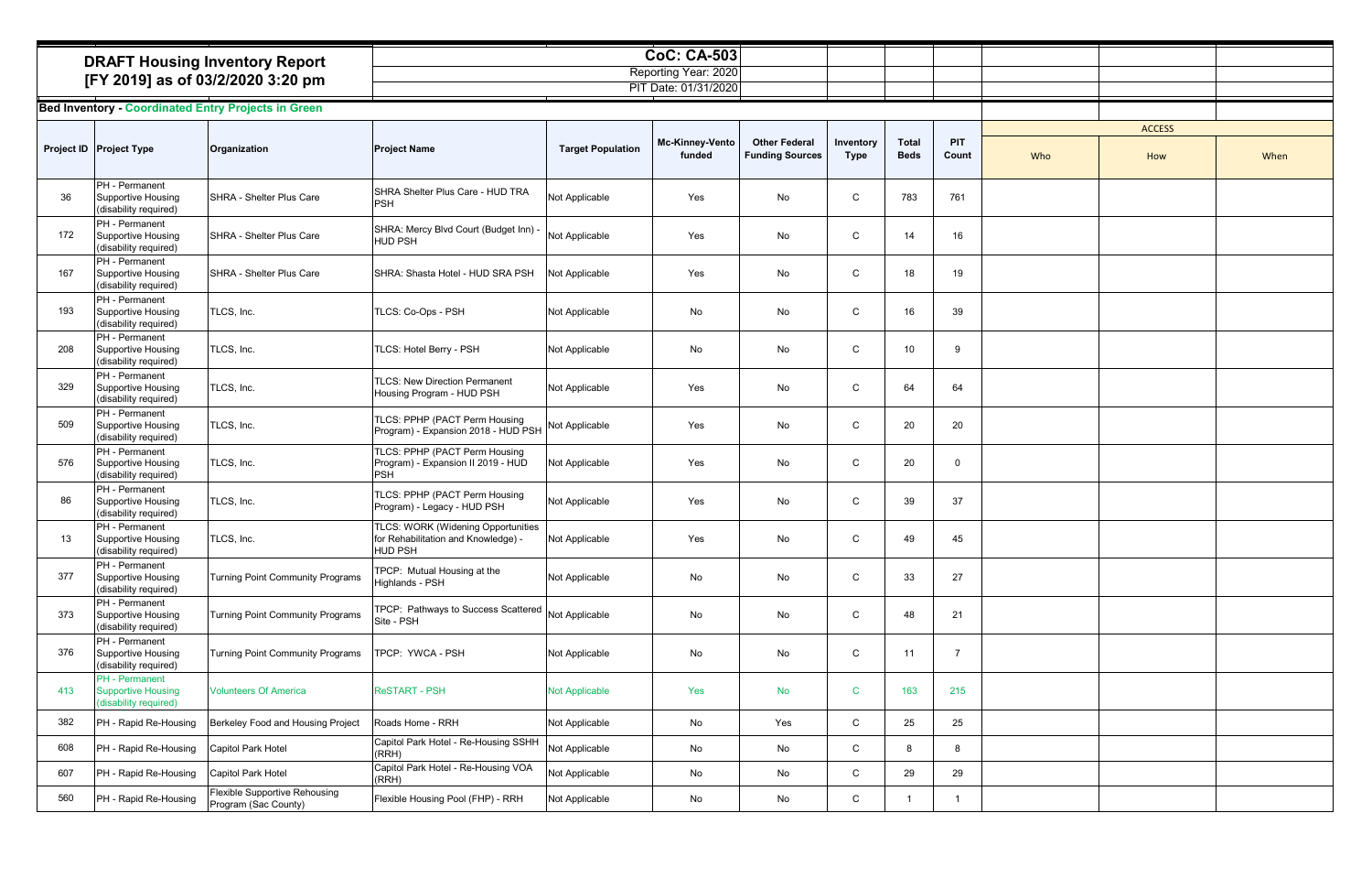| <b>DRAFT Housing Inventory Report</b> | <b>CoC: CA-503</b>   |  |
|---------------------------------------|----------------------|--|
|                                       | Reporting Year: 2020 |  |
| [FY 2019] as of 03/2/2020 3:20 pm     | PIT Date: 01/31/2020 |  |

|     |                                                                      | <b>DRAFT Housing Inventory Report</b>                      |                                                                                             |                          | <b>CoC: CA-503</b>                           |                                                |                          |                             |                |     |               |      |
|-----|----------------------------------------------------------------------|------------------------------------------------------------|---------------------------------------------------------------------------------------------|--------------------------|----------------------------------------------|------------------------------------------------|--------------------------|-----------------------------|----------------|-----|---------------|------|
|     |                                                                      | [FY 2019] as of 03/2/2020 3:20 pm                          |                                                                                             |                          | Reporting Year: 2020<br>PIT Date: 01/31/2020 |                                                |                          |                             |                |     |               |      |
|     |                                                                      | <b>Bed Inventory - Coordinated Entry Projects in Green</b> |                                                                                             |                          |                                              |                                                |                          |                             |                |     |               |      |
|     |                                                                      |                                                            |                                                                                             |                          |                                              |                                                |                          |                             |                |     | <b>ACCESS</b> |      |
|     | Project ID Project Type                                              | Organization                                               | <b>Project Name</b>                                                                         | <b>Target Population</b> | <b>Mc-Kinney-Vento</b><br>funded             | <b>Other Federal</b><br><b>Funding Sources</b> | Inventory<br><b>Type</b> | <b>Total</b><br><b>Beds</b> | PIT<br>Count   | Who | How           | When |
| 36  | PH - Permanent<br>Supportive Housing<br>(disability required)        | SHRA - Shelter Plus Care                                   | SHRA Shelter Plus Care - HUD TRA<br>PSH                                                     | Not Applicable           | Yes                                          | No                                             | C                        | 783                         | 761            |     |               |      |
| 172 | PH - Permanent<br><b>Supportive Housing</b><br>(disability required) | SHRA - Shelter Plus Care                                   | SHRA: Mercy Blvd Court (Budget Inn) -<br>HUD PSH                                            | Not Applicable           | Yes                                          | No                                             | C                        | 14                          | 16             |     |               |      |
| 167 | PH - Permanent<br>Supportive Housing<br>(disability required)        | SHRA - Shelter Plus Care                                   | SHRA: Shasta Hotel - HUD SRA PSH                                                            | Not Applicable           | Yes                                          | No                                             | C                        | 18                          | 19             |     |               |      |
| 193 | PH - Permanent<br>Supportive Housing<br>(disability required)        | TLCS, Inc.                                                 | TLCS: Co-Ops - PSH                                                                          | Not Applicable           | No                                           | No                                             | C                        | 16                          | 39             |     |               |      |
| 208 | PH - Permanent<br>Supportive Housing<br>(disability required)        | TLCS, Inc.                                                 | TLCS: Hotel Berry - PSH                                                                     | Not Applicable           | No                                           | No                                             | C                        | 10                          | 9              |     |               |      |
| 329 | PH - Permanent<br><b>Supportive Housing</b><br>(disability required) | TLCS, Inc.                                                 | <b>TLCS: New Direction Permanent</b><br>Housing Program - HUD PSH                           | Not Applicable           | Yes                                          | No                                             | C                        | 64                          | 64             |     |               |      |
| 509 | PH - Permanent<br>Supportive Housing<br>(disability required)        | TLCS, Inc.                                                 | TLCS: PPHP (PACT Perm Housing<br>Program) - Expansion 2018 - HUD PSH                        | Not Applicable           | Yes                                          | No                                             | ${\rm C}$                | $20\,$                      | 20             |     |               |      |
| 576 | PH - Permanent<br>Supportive Housing<br>(disability required)        | TLCS, Inc.                                                 | TLCS: PPHP (PACT Perm Housing<br>Program) - Expansion II 2019 - HUD<br>PSH                  | Not Applicable           | Yes                                          | No                                             | C                        | 20                          | $\Omega$       |     |               |      |
| 86  | <b>PH</b> - Permanent<br>Supportive Housing<br>(disability required) | TLCS, Inc.                                                 | TLCS: PPHP (PACT Perm Housing<br>Program) - Legacy - HUD PSH                                | Not Applicable           | Yes                                          | No                                             | C                        | 39                          | 37             |     |               |      |
| 13  | PH - Permanent<br>Supportive Housing<br>(disability required)        | TLCS, Inc.                                                 | TLCS: WORK (Widening Opportunities<br>for Rehabilitation and Knowledge) -<br><b>HUD PSH</b> | Not Applicable           | Yes                                          | No                                             | $\mathsf{C}$             | 49                          | 45             |     |               |      |
| 377 | PH - Permanent<br>Supportive Housing<br>(disability required)        | Turning Point Community Programs                           | TPCP: Mutual Housing at the<br>Highlands - PSH                                              | Not Applicable           | No                                           | No                                             | C                        | 33                          | 27             |     |               |      |
| 373 | PH - Permanent<br>Supportive Housing<br>(disability required)        | <b>Turning Point Community Programs</b>                    | TPCP: Pathways to Success Scattered<br>Site - PSH                                           | Not Applicable           | No                                           | No                                             | C                        | 48                          | 21             |     |               |      |
| 376 | PH - Permanent<br>Supportive Housing<br>(disability required)        | Turning Point Community Programs                           | TPCP: YWCA - PSH                                                                            | Not Applicable           | No                                           | No                                             | C                        | 11                          | $\overline{7}$ |     |               |      |
| 413 | PH - Permanent<br><b>Supportive Housing</b><br>(disability required) | <b>Volunteers Of America</b>                               | <b>ReSTART - PSH</b>                                                                        | <b>Not Applicable</b>    | Yes                                          | No                                             | $\mathsf{C}$             | 163                         | 215            |     |               |      |
| 382 | PH - Rapid Re-Housing                                                | Berkeley Food and Housing Project                          | Roads Home - RRH                                                                            | Not Applicable           | No                                           | Yes                                            | С                        | 25                          | 25             |     |               |      |
| 608 | PH - Rapid Re-Housing                                                | Capitol Park Hotel                                         | Capitol Park Hotel - Re-Housing SSHH<br>(RRH)                                               | Not Applicable           | No                                           | No                                             | C                        | 8                           | 8              |     |               |      |
| 607 | PH - Rapid Re-Housing                                                | <b>Capitol Park Hotel</b>                                  | Capitol Park Hotel - Re-Housing VOA<br>(RRH)                                                | Not Applicable           | No                                           | No                                             | С                        | 29                          | 29             |     |               |      |
| 560 | PH - Rapid Re-Housing                                                | Flexible Supportive Rehousing<br>Program (Sac County)      | Flexible Housing Pool (FHP) - RRH                                                           | Not Applicable           | No                                           | No                                             | C                        |                             |                |     |               |      |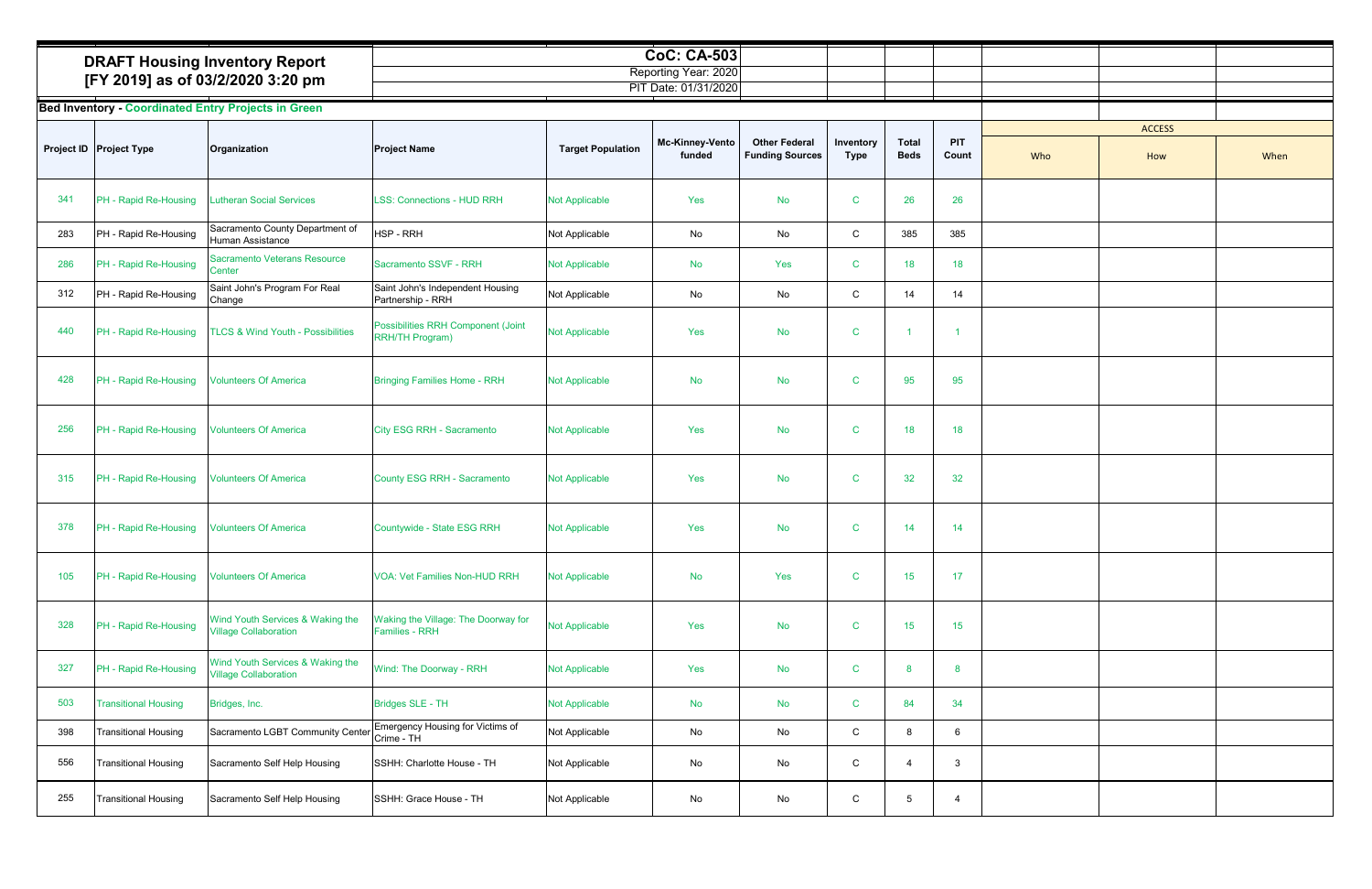| <b>DRAFT Housing Inventory Report</b> | <b>CoC: CA-503</b>   |  |  |  |
|---------------------------------------|----------------------|--|--|--|
|                                       | Reporting Year: 2020 |  |  |  |
| [FY 2019] as of 03/2/2020 3:20 pm     | PIT Date: 01/31/2020 |  |  |  |

|     | <b>DRAFT Housing Inventory Report</b> |                                                                  |                                                              |                          | <b>CoC: CA-503</b><br>Reporting Year: 2020 |                                                |                          |                             |                |     |               |      |
|-----|---------------------------------------|------------------------------------------------------------------|--------------------------------------------------------------|--------------------------|--------------------------------------------|------------------------------------------------|--------------------------|-----------------------------|----------------|-----|---------------|------|
|     |                                       | [FY 2019] as of 03/2/2020 3:20 pm                                |                                                              |                          | PIT Date: 01/31/2020                       |                                                |                          |                             |                |     |               |      |
|     |                                       | <b>Bed Inventory - Coordinated Entry Projects in Green</b>       |                                                              |                          |                                            |                                                |                          |                             |                |     |               |      |
|     |                                       |                                                                  |                                                              |                          |                                            |                                                |                          |                             |                |     | <b>ACCESS</b> |      |
|     | Project ID   Project Type             | Organization                                                     | <b>Project Name</b>                                          | <b>Target Population</b> | <b>Mc-Kinney-Vento</b><br>funded           | <b>Other Federal</b><br><b>Funding Sources</b> | Inventory<br><b>Type</b> | <b>Total</b><br><b>Beds</b> | PIT<br>Count   | Who | How           | When |
| 341 | PH - Rapid Re-Housing                 | <b>Lutheran Social Services</b>                                  | <b>LSS: Connections - HUD RRH</b>                            | <b>Not Applicable</b>    | Yes                                        | <b>No</b>                                      | $\mathbf C$              | 26                          | 26             |     |               |      |
| 283 | PH - Rapid Re-Housing                 | Sacramento County Department of<br>Human Assistance              | <b>HSP - RRH</b>                                             | Not Applicable           | No                                         | No                                             | C                        | 385                         | 385            |     |               |      |
| 286 | PH - Rapid Re-Housing                 | Sacramento Veterans Resource<br>Center                           | Sacramento SSVF - RRH                                        | <b>Not Applicable</b>    | No                                         | Yes                                            | C                        | 18                          | 18             |     |               |      |
| 312 | PH - Rapid Re-Housing                 | Saint John's Program For Real<br>Change                          | Saint John's Independent Housing<br>Partnership - RRH        | Not Applicable           | No                                         | No                                             | C                        | 14                          | 14             |     |               |      |
| 440 | PH - Rapid Re-Housing                 | <b>TLCS &amp; Wind Youth - Possibilities</b>                     | Possibilities RRH Component (Joint<br><b>RRH/TH Program)</b> | <b>Not Applicable</b>    | Yes                                        | <b>No</b>                                      | C                        | -1                          |                |     |               |      |
| 428 | PH - Rapid Re-Housing                 | <b>Volunteers Of America</b>                                     | <b>Bringing Families Home - RRH</b>                          | <b>Not Applicable</b>    | <b>No</b>                                  | <b>No</b>                                      | <sub>C</sub>             | 95                          | 95             |     |               |      |
| 256 | PH - Rapid Re-Housing                 | <b>Volunteers Of America</b>                                     | City ESG RRH - Sacramento                                    | <b>Not Applicable</b>    | Yes                                        | <b>No</b>                                      | $\mathbf C$              | 18                          | 18             |     |               |      |
| 315 | PH - Rapid Re-Housing                 | <b>Volunteers Of America</b>                                     | County ESG RRH - Sacramento                                  | <b>Not Applicable</b>    | Yes                                        | No                                             | C                        | 32                          | 32             |     |               |      |
| 378 | PH - Rapid Re-Housing                 | <b>Volunteers Of America</b>                                     | Countywide - State ESG RRH                                   | <b>Not Applicable</b>    | Yes                                        | No                                             | C                        | 14                          | 14             |     |               |      |
| 105 | PH - Rapid Re-Housing                 | <b>Volunteers Of America</b>                                     | <b>VOA: Vet Families Non-HUD RRH</b>                         | <b>Not Applicable</b>    | No                                         | Yes                                            | $\mathbf C$              | 15                          | 17             |     |               |      |
| 328 | PH - Rapid Re-Housing                 | Wind Youth Services & Waking the<br><b>Village Collaboration</b> | Waking the Village: The Doorway for<br><b>Families - RRH</b> | Not Applicable           | Yes                                        | <b>No</b>                                      | $\mathbf C$              | 15                          | 15             |     |               |      |
| 327 | PH - Rapid Re-Housing                 | Wind Youth Services & Waking the<br><b>Village Collaboration</b> | Wind: The Doorway - RRH                                      | <b>Not Applicable</b>    | Yes                                        | <b>No</b>                                      | C                        | 8                           | 8              |     |               |      |
| 503 | <b>Transitional Housing</b>           | Bridges, Inc.                                                    | <b>Bridges SLE - TH</b>                                      | <b>Not Applicable</b>    | <b>No</b>                                  | <b>No</b>                                      | $\mathbf C$              | 84                          | 34             |     |               |      |
| 398 | <b>Transitional Housing</b>           | Sacramento LGBT Community Center                                 | Emergency Housing for Victims of<br>Crime - TH               | Not Applicable           | No                                         | No                                             | C                        | 8                           | 6              |     |               |      |
| 556 | <b>Transitional Housing</b>           | Sacramento Self Help Housing                                     | SSHH: Charlotte House - TH                                   | Not Applicable           | No                                         | No                                             | C                        | 4                           | $\mathbf{3}$   |     |               |      |
| 255 | <b>Transitional Housing</b>           | Sacramento Self Help Housing                                     | SSHH: Grace House - TH                                       | Not Applicable           | No                                         | No                                             | C                        | $5\phantom{.0}$             | $\overline{4}$ |     |               |      |